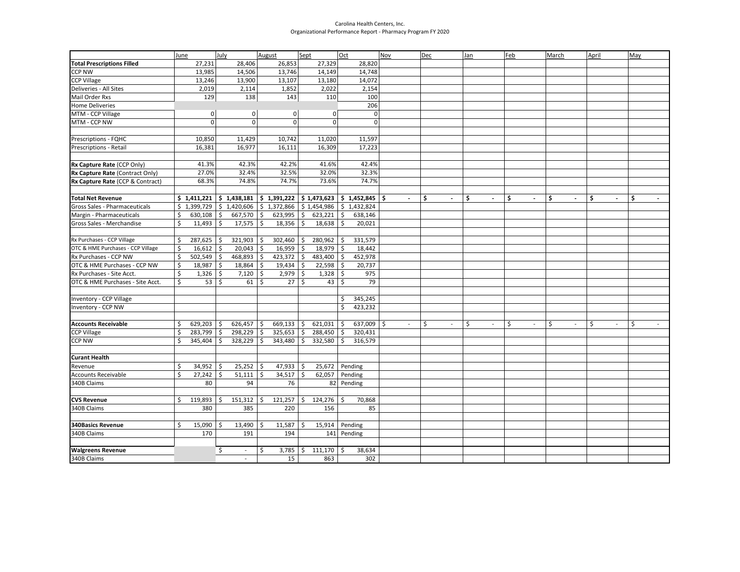## Carolina Health Centers, Inc. Organizational Performance Report - Pharmacy Program FY 2020

| <b>Total Prescriptions Filled</b><br>26,853<br>28,820<br>27,231<br>28,406<br>27,329<br><b>CCP NW</b><br>13,985<br>13,746<br>14,748<br>14,506<br>14,149<br><b>CCP Village</b><br>13,246<br>13,900<br>13,107<br>13,180<br>14,072<br>Deliveries - All Sites<br>2,019<br>2,114<br>1,852<br>2,022<br>2,154<br>Mail Order Rxs<br>129<br>138<br>143<br>110<br>100<br>206<br><b>Home Deliveries</b><br>MTM - CCP Village<br>$\mathbf 0$<br>$\mathbf 0$<br>$\overline{0}$<br>0<br>0<br>$\Omega$<br>$\mathbf 0$<br>$\mathbf 0$<br>$\Omega$<br>MTM - CCP NW<br>$\mathbf 0$<br>Prescriptions - FQHC<br>10,850<br>11,429<br>10,742<br>11,020<br>11,597<br>16,111<br>17,223<br>Prescriptions - Retail<br>16,381<br>16,977<br>16,309<br>41.3%<br>42.3%<br>42.2%<br>41.6%<br>42.4%<br>Rx Capture Rate (CCP Only)<br>27.0%<br>32.5%<br>32.0%<br>32.3%<br>Rx Capture Rate (Contract Only)<br>32.4%<br>74.7%<br>73.6%<br>74.7%<br>Rx Capture Rate (CCP & Contract)<br>68.3%<br>74.8%<br>$\vert$ \$ 1,391,222 $\vert$ \$ 1,473,623 $\vert$ \$ 1,452,845 $\vert$ \$<br>\$<br>\$<br>\$<br>\$<br>\$<br>\$<br><b>Total Net Revenue</b><br>$$1,411,221$ $$1,438,181$<br>$\sim$<br>$\blacksquare$<br>$\sim$<br>$\blacksquare$<br>$\overline{\phantom{a}}$<br>$\blacksquare$<br>$\overline{\phantom{a}}$<br>$$1,399,729$ $$1,420,606$<br>Gross Sales - Pharmaceuticals<br>\$1,372,866<br>$$1,454,986$ $$1,432,824$<br>Margin - Pharmaceuticals<br>\$<br>667,570<br>\$<br>623,995<br>\$<br>$623,221$ \$<br>638,146<br>630,108<br>\$<br>\$<br>11,493<br>\$<br>17,575<br>\$<br>18,356<br>\$<br>18,638<br>\$<br>Gross Sales - Merchandise<br>20,021<br>Rx Purchases - CCP Village<br>321,903<br>302,460<br>280,962<br>331,579<br>\$<br>287,625<br>\$<br>\$<br>\$<br>Ŝ.<br>\$<br>\$<br>OTC & HME Purchases - CCP Village<br>16,959<br>$18,979$ \$<br>18,442<br>\$<br>16,612<br>\$<br>20,043<br>468,893<br>423,372<br>\$<br>Rx Purchases - CCP NW<br>Ŝ.<br>502,549<br>Ŝ.<br>\$<br>$483,400$ \$<br>452,978<br>\$<br>OTC & HME Purchases - CCP NW<br>18,987<br>18,864<br>\$<br>19,434<br>22,598<br>\$<br>20,737<br>\$<br>5 ا<br>$1,326$ \$<br>7,120<br>2,979<br>\$<br>$1,328$ \$<br>975<br>Rx Purchases - Site Acct.<br>\$<br>\$ |
|-----------------------------------------------------------------------------------------------------------------------------------------------------------------------------------------------------------------------------------------------------------------------------------------------------------------------------------------------------------------------------------------------------------------------------------------------------------------------------------------------------------------------------------------------------------------------------------------------------------------------------------------------------------------------------------------------------------------------------------------------------------------------------------------------------------------------------------------------------------------------------------------------------------------------------------------------------------------------------------------------------------------------------------------------------------------------------------------------------------------------------------------------------------------------------------------------------------------------------------------------------------------------------------------------------------------------------------------------------------------------------------------------------------------------------------------------------------------------------------------------------------------------------------------------------------------------------------------------------------------------------------------------------------------------------------------------------------------------------------------------------------------------------------------------------------------------------------------------------------------------------------------------------------------------------------------------------------------------------------------------------------------------------------------------------------------------------------------------------------------------------------------------------------------------------------------------|
|                                                                                                                                                                                                                                                                                                                                                                                                                                                                                                                                                                                                                                                                                                                                                                                                                                                                                                                                                                                                                                                                                                                                                                                                                                                                                                                                                                                                                                                                                                                                                                                                                                                                                                                                                                                                                                                                                                                                                                                                                                                                                                                                                                                               |
|                                                                                                                                                                                                                                                                                                                                                                                                                                                                                                                                                                                                                                                                                                                                                                                                                                                                                                                                                                                                                                                                                                                                                                                                                                                                                                                                                                                                                                                                                                                                                                                                                                                                                                                                                                                                                                                                                                                                                                                                                                                                                                                                                                                               |
|                                                                                                                                                                                                                                                                                                                                                                                                                                                                                                                                                                                                                                                                                                                                                                                                                                                                                                                                                                                                                                                                                                                                                                                                                                                                                                                                                                                                                                                                                                                                                                                                                                                                                                                                                                                                                                                                                                                                                                                                                                                                                                                                                                                               |
|                                                                                                                                                                                                                                                                                                                                                                                                                                                                                                                                                                                                                                                                                                                                                                                                                                                                                                                                                                                                                                                                                                                                                                                                                                                                                                                                                                                                                                                                                                                                                                                                                                                                                                                                                                                                                                                                                                                                                                                                                                                                                                                                                                                               |
|                                                                                                                                                                                                                                                                                                                                                                                                                                                                                                                                                                                                                                                                                                                                                                                                                                                                                                                                                                                                                                                                                                                                                                                                                                                                                                                                                                                                                                                                                                                                                                                                                                                                                                                                                                                                                                                                                                                                                                                                                                                                                                                                                                                               |
|                                                                                                                                                                                                                                                                                                                                                                                                                                                                                                                                                                                                                                                                                                                                                                                                                                                                                                                                                                                                                                                                                                                                                                                                                                                                                                                                                                                                                                                                                                                                                                                                                                                                                                                                                                                                                                                                                                                                                                                                                                                                                                                                                                                               |
|                                                                                                                                                                                                                                                                                                                                                                                                                                                                                                                                                                                                                                                                                                                                                                                                                                                                                                                                                                                                                                                                                                                                                                                                                                                                                                                                                                                                                                                                                                                                                                                                                                                                                                                                                                                                                                                                                                                                                                                                                                                                                                                                                                                               |
|                                                                                                                                                                                                                                                                                                                                                                                                                                                                                                                                                                                                                                                                                                                                                                                                                                                                                                                                                                                                                                                                                                                                                                                                                                                                                                                                                                                                                                                                                                                                                                                                                                                                                                                                                                                                                                                                                                                                                                                                                                                                                                                                                                                               |
|                                                                                                                                                                                                                                                                                                                                                                                                                                                                                                                                                                                                                                                                                                                                                                                                                                                                                                                                                                                                                                                                                                                                                                                                                                                                                                                                                                                                                                                                                                                                                                                                                                                                                                                                                                                                                                                                                                                                                                                                                                                                                                                                                                                               |
|                                                                                                                                                                                                                                                                                                                                                                                                                                                                                                                                                                                                                                                                                                                                                                                                                                                                                                                                                                                                                                                                                                                                                                                                                                                                                                                                                                                                                                                                                                                                                                                                                                                                                                                                                                                                                                                                                                                                                                                                                                                                                                                                                                                               |
|                                                                                                                                                                                                                                                                                                                                                                                                                                                                                                                                                                                                                                                                                                                                                                                                                                                                                                                                                                                                                                                                                                                                                                                                                                                                                                                                                                                                                                                                                                                                                                                                                                                                                                                                                                                                                                                                                                                                                                                                                                                                                                                                                                                               |
|                                                                                                                                                                                                                                                                                                                                                                                                                                                                                                                                                                                                                                                                                                                                                                                                                                                                                                                                                                                                                                                                                                                                                                                                                                                                                                                                                                                                                                                                                                                                                                                                                                                                                                                                                                                                                                                                                                                                                                                                                                                                                                                                                                                               |
|                                                                                                                                                                                                                                                                                                                                                                                                                                                                                                                                                                                                                                                                                                                                                                                                                                                                                                                                                                                                                                                                                                                                                                                                                                                                                                                                                                                                                                                                                                                                                                                                                                                                                                                                                                                                                                                                                                                                                                                                                                                                                                                                                                                               |
|                                                                                                                                                                                                                                                                                                                                                                                                                                                                                                                                                                                                                                                                                                                                                                                                                                                                                                                                                                                                                                                                                                                                                                                                                                                                                                                                                                                                                                                                                                                                                                                                                                                                                                                                                                                                                                                                                                                                                                                                                                                                                                                                                                                               |
|                                                                                                                                                                                                                                                                                                                                                                                                                                                                                                                                                                                                                                                                                                                                                                                                                                                                                                                                                                                                                                                                                                                                                                                                                                                                                                                                                                                                                                                                                                                                                                                                                                                                                                                                                                                                                                                                                                                                                                                                                                                                                                                                                                                               |
|                                                                                                                                                                                                                                                                                                                                                                                                                                                                                                                                                                                                                                                                                                                                                                                                                                                                                                                                                                                                                                                                                                                                                                                                                                                                                                                                                                                                                                                                                                                                                                                                                                                                                                                                                                                                                                                                                                                                                                                                                                                                                                                                                                                               |
|                                                                                                                                                                                                                                                                                                                                                                                                                                                                                                                                                                                                                                                                                                                                                                                                                                                                                                                                                                                                                                                                                                                                                                                                                                                                                                                                                                                                                                                                                                                                                                                                                                                                                                                                                                                                                                                                                                                                                                                                                                                                                                                                                                                               |
|                                                                                                                                                                                                                                                                                                                                                                                                                                                                                                                                                                                                                                                                                                                                                                                                                                                                                                                                                                                                                                                                                                                                                                                                                                                                                                                                                                                                                                                                                                                                                                                                                                                                                                                                                                                                                                                                                                                                                                                                                                                                                                                                                                                               |
|                                                                                                                                                                                                                                                                                                                                                                                                                                                                                                                                                                                                                                                                                                                                                                                                                                                                                                                                                                                                                                                                                                                                                                                                                                                                                                                                                                                                                                                                                                                                                                                                                                                                                                                                                                                                                                                                                                                                                                                                                                                                                                                                                                                               |
|                                                                                                                                                                                                                                                                                                                                                                                                                                                                                                                                                                                                                                                                                                                                                                                                                                                                                                                                                                                                                                                                                                                                                                                                                                                                                                                                                                                                                                                                                                                                                                                                                                                                                                                                                                                                                                                                                                                                                                                                                                                                                                                                                                                               |
|                                                                                                                                                                                                                                                                                                                                                                                                                                                                                                                                                                                                                                                                                                                                                                                                                                                                                                                                                                                                                                                                                                                                                                                                                                                                                                                                                                                                                                                                                                                                                                                                                                                                                                                                                                                                                                                                                                                                                                                                                                                                                                                                                                                               |
|                                                                                                                                                                                                                                                                                                                                                                                                                                                                                                                                                                                                                                                                                                                                                                                                                                                                                                                                                                                                                                                                                                                                                                                                                                                                                                                                                                                                                                                                                                                                                                                                                                                                                                                                                                                                                                                                                                                                                                                                                                                                                                                                                                                               |
|                                                                                                                                                                                                                                                                                                                                                                                                                                                                                                                                                                                                                                                                                                                                                                                                                                                                                                                                                                                                                                                                                                                                                                                                                                                                                                                                                                                                                                                                                                                                                                                                                                                                                                                                                                                                                                                                                                                                                                                                                                                                                                                                                                                               |
|                                                                                                                                                                                                                                                                                                                                                                                                                                                                                                                                                                                                                                                                                                                                                                                                                                                                                                                                                                                                                                                                                                                                                                                                                                                                                                                                                                                                                                                                                                                                                                                                                                                                                                                                                                                                                                                                                                                                                                                                                                                                                                                                                                                               |
|                                                                                                                                                                                                                                                                                                                                                                                                                                                                                                                                                                                                                                                                                                                                                                                                                                                                                                                                                                                                                                                                                                                                                                                                                                                                                                                                                                                                                                                                                                                                                                                                                                                                                                                                                                                                                                                                                                                                                                                                                                                                                                                                                                                               |
|                                                                                                                                                                                                                                                                                                                                                                                                                                                                                                                                                                                                                                                                                                                                                                                                                                                                                                                                                                                                                                                                                                                                                                                                                                                                                                                                                                                                                                                                                                                                                                                                                                                                                                                                                                                                                                                                                                                                                                                                                                                                                                                                                                                               |
| $53$ $\frac{1}{5}$<br>Ś.<br>27<br>Ŝ.<br>Ŝ.<br>79<br>OTC & HME Purchases - Site Acct.<br>Ŝ.<br>61<br>43                                                                                                                                                                                                                                                                                                                                                                                                                                                                                                                                                                                                                                                                                                                                                                                                                                                                                                                                                                                                                                                                                                                                                                                                                                                                                                                                                                                                                                                                                                                                                                                                                                                                                                                                                                                                                                                                                                                                                                                                                                                                                        |
|                                                                                                                                                                                                                                                                                                                                                                                                                                                                                                                                                                                                                                                                                                                                                                                                                                                                                                                                                                                                                                                                                                                                                                                                                                                                                                                                                                                                                                                                                                                                                                                                                                                                                                                                                                                                                                                                                                                                                                                                                                                                                                                                                                                               |
| Inventory - CCP Village<br>\$<br>345,245                                                                                                                                                                                                                                                                                                                                                                                                                                                                                                                                                                                                                                                                                                                                                                                                                                                                                                                                                                                                                                                                                                                                                                                                                                                                                                                                                                                                                                                                                                                                                                                                                                                                                                                                                                                                                                                                                                                                                                                                                                                                                                                                                      |
| \$<br>423,232<br>Inventory - CCP NW                                                                                                                                                                                                                                                                                                                                                                                                                                                                                                                                                                                                                                                                                                                                                                                                                                                                                                                                                                                                                                                                                                                                                                                                                                                                                                                                                                                                                                                                                                                                                                                                                                                                                                                                                                                                                                                                                                                                                                                                                                                                                                                                                           |
|                                                                                                                                                                                                                                                                                                                                                                                                                                                                                                                                                                                                                                                                                                                                                                                                                                                                                                                                                                                                                                                                                                                                                                                                                                                                                                                                                                                                                                                                                                                                                                                                                                                                                                                                                                                                                                                                                                                                                                                                                                                                                                                                                                                               |
| \$<br>\$<br>\$<br>\$<br>Ś<br>Ś<br>\$<br>\$<br><b>Accounts Receivable</b><br>Ś<br>626,457<br>669,133<br>\$<br>621,031<br>637,009<br>-\$<br>629,203<br>S<br>$\overline{\phantom{a}}$<br>$\overline{\phantom{a}}$<br>$\overline{\phantom{a}}$<br>$\overline{\phantom{a}}$<br>$\sim$<br>$\overline{\phantom{a}}$<br>$\sim$                                                                                                                                                                                                                                                                                                                                                                                                                                                                                                                                                                                                                                                                                                                                                                                                                                                                                                                                                                                                                                                                                                                                                                                                                                                                                                                                                                                                                                                                                                                                                                                                                                                                                                                                                                                                                                                                        |
| 298,229<br>\$<br>\$<br>288,450<br>\$<br>\$<br>283,799<br>325,653<br>320,431<br><b>CCP Village</b><br>\$<br>Ś                                                                                                                                                                                                                                                                                                                                                                                                                                                                                                                                                                                                                                                                                                                                                                                                                                                                                                                                                                                                                                                                                                                                                                                                                                                                                                                                                                                                                                                                                                                                                                                                                                                                                                                                                                                                                                                                                                                                                                                                                                                                                  |
| \$<br><b>CCP NW</b><br>328,229<br>343,480<br>\$<br>332,580<br>\$<br>316,579<br>345,404<br>\$                                                                                                                                                                                                                                                                                                                                                                                                                                                                                                                                                                                                                                                                                                                                                                                                                                                                                                                                                                                                                                                                                                                                                                                                                                                                                                                                                                                                                                                                                                                                                                                                                                                                                                                                                                                                                                                                                                                                                                                                                                                                                                  |
| <b>Curant Health</b>                                                                                                                                                                                                                                                                                                                                                                                                                                                                                                                                                                                                                                                                                                                                                                                                                                                                                                                                                                                                                                                                                                                                                                                                                                                                                                                                                                                                                                                                                                                                                                                                                                                                                                                                                                                                                                                                                                                                                                                                                                                                                                                                                                          |
| $25,252$ \$<br>$47,933$ \$<br>25,672 Pending<br>Revenue<br>\$<br>$34,952$ \$                                                                                                                                                                                                                                                                                                                                                                                                                                                                                                                                                                                                                                                                                                                                                                                                                                                                                                                                                                                                                                                                                                                                                                                                                                                                                                                                                                                                                                                                                                                                                                                                                                                                                                                                                                                                                                                                                                                                                                                                                                                                                                                  |
| \$<br>27,242<br>51,111<br>\$<br>34,517<br>\$<br>$62,057$ Pending<br><b>Accounts Receivable</b><br>l \$                                                                                                                                                                                                                                                                                                                                                                                                                                                                                                                                                                                                                                                                                                                                                                                                                                                                                                                                                                                                                                                                                                                                                                                                                                                                                                                                                                                                                                                                                                                                                                                                                                                                                                                                                                                                                                                                                                                                                                                                                                                                                        |
| 340B Claims<br>80<br>94<br>76<br>82 Pending                                                                                                                                                                                                                                                                                                                                                                                                                                                                                                                                                                                                                                                                                                                                                                                                                                                                                                                                                                                                                                                                                                                                                                                                                                                                                                                                                                                                                                                                                                                                                                                                                                                                                                                                                                                                                                                                                                                                                                                                                                                                                                                                                   |
|                                                                                                                                                                                                                                                                                                                                                                                                                                                                                                                                                                                                                                                                                                                                                                                                                                                                                                                                                                                                                                                                                                                                                                                                                                                                                                                                                                                                                                                                                                                                                                                                                                                                                                                                                                                                                                                                                                                                                                                                                                                                                                                                                                                               |
| 119,893<br>$151,312$ \$<br>121,257<br>$124,276$ \$<br>70,868<br>Ŝ.<br>\$<br><b>CVS Revenue</b><br>Ŝ                                                                                                                                                                                                                                                                                                                                                                                                                                                                                                                                                                                                                                                                                                                                                                                                                                                                                                                                                                                                                                                                                                                                                                                                                                                                                                                                                                                                                                                                                                                                                                                                                                                                                                                                                                                                                                                                                                                                                                                                                                                                                           |
| 340B Claims<br>85<br>380<br>385<br>220<br>156                                                                                                                                                                                                                                                                                                                                                                                                                                                                                                                                                                                                                                                                                                                                                                                                                                                                                                                                                                                                                                                                                                                                                                                                                                                                                                                                                                                                                                                                                                                                                                                                                                                                                                                                                                                                                                                                                                                                                                                                                                                                                                                                                 |
|                                                                                                                                                                                                                                                                                                                                                                                                                                                                                                                                                                                                                                                                                                                                                                                                                                                                                                                                                                                                                                                                                                                                                                                                                                                                                                                                                                                                                                                                                                                                                                                                                                                                                                                                                                                                                                                                                                                                                                                                                                                                                                                                                                                               |
| 13,490<br>\$<br>11,587<br>\$<br>15,914<br>Pending<br><b>340Basics Revenue</b><br>\$<br>15,090<br>Ś.                                                                                                                                                                                                                                                                                                                                                                                                                                                                                                                                                                                                                                                                                                                                                                                                                                                                                                                                                                                                                                                                                                                                                                                                                                                                                                                                                                                                                                                                                                                                                                                                                                                                                                                                                                                                                                                                                                                                                                                                                                                                                           |
| 340B Claims<br>170<br>191<br>194<br>141 Pending                                                                                                                                                                                                                                                                                                                                                                                                                                                                                                                                                                                                                                                                                                                                                                                                                                                                                                                                                                                                                                                                                                                                                                                                                                                                                                                                                                                                                                                                                                                                                                                                                                                                                                                                                                                                                                                                                                                                                                                                                                                                                                                                               |
|                                                                                                                                                                                                                                                                                                                                                                                                                                                                                                                                                                                                                                                                                                                                                                                                                                                                                                                                                                                                                                                                                                                                                                                                                                                                                                                                                                                                                                                                                                                                                                                                                                                                                                                                                                                                                                                                                                                                                                                                                                                                                                                                                                                               |
| 38,634<br><b>Walgreens Revenue</b><br>\$<br>\$<br>3,785<br>$$111,170$ $$$<br>$\sim$                                                                                                                                                                                                                                                                                                                                                                                                                                                                                                                                                                                                                                                                                                                                                                                                                                                                                                                                                                                                                                                                                                                                                                                                                                                                                                                                                                                                                                                                                                                                                                                                                                                                                                                                                                                                                                                                                                                                                                                                                                                                                                           |
| 340B Claims<br>15<br>863<br>302<br>$\overline{a}$                                                                                                                                                                                                                                                                                                                                                                                                                                                                                                                                                                                                                                                                                                                                                                                                                                                                                                                                                                                                                                                                                                                                                                                                                                                                                                                                                                                                                                                                                                                                                                                                                                                                                                                                                                                                                                                                                                                                                                                                                                                                                                                                             |